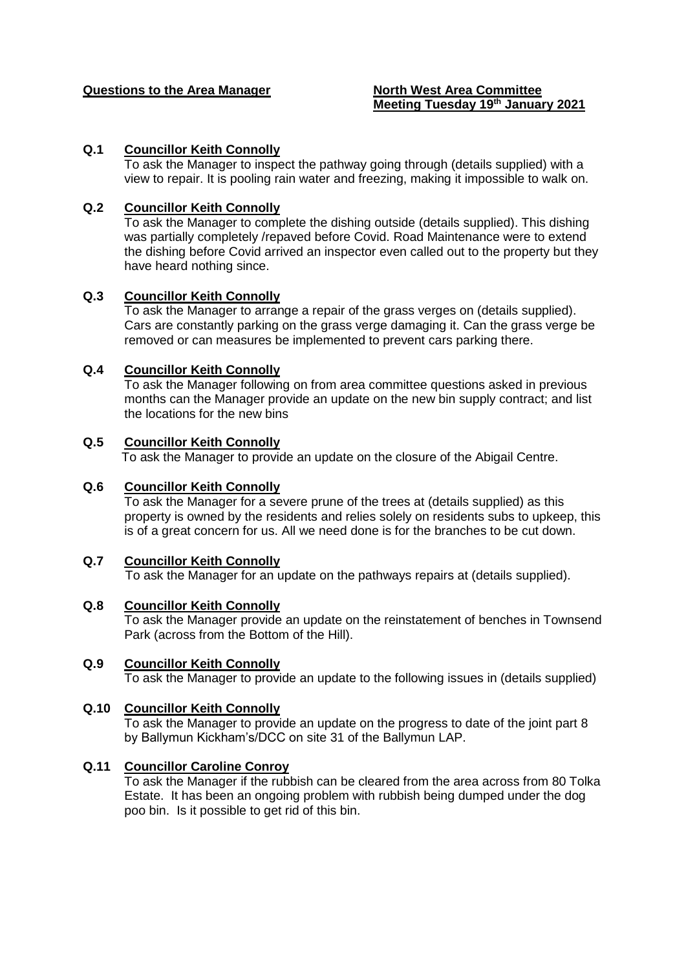#### **Questions to the Area Manager North West Area Committee**

# **Meeting Tuesday 19th January 2021**

#### **Q.1 Councillor Keith Connolly**

To ask the Manager to inspect the pathway going through (details supplied) with a view to repair. It is pooling rain water and freezing, making it impossible to walk on.

#### **Q.2 Councillor Keith Connolly**

To ask the Manager to complete the dishing outside (details supplied). This dishing was partially completely /repaved before Covid. Road Maintenance were to extend the dishing before Covid arrived an inspector even called out to the property but they have heard nothing since.

#### **Q.3 Councillor Keith Connolly**

To ask the Manager to arrange a repair of the grass verges on (details supplied). Cars are constantly parking on the grass verge damaging it. Can the grass verge be removed or can measures be implemented to prevent cars parking there.

#### **Q.4 Councillor Keith Connolly**

To ask the Manager following on from area committee questions asked in previous months can the Manager provide an update on the new bin supply contract; and list the locations for the new bins

#### **Q.5 Councillor Keith Connolly**

To ask the Manager to provide an update on the closure of the Abigail Centre.

#### **Q.6 Councillor Keith Connolly**

To ask the Manager for a severe prune of the trees at (details supplied) as this property is owned by the residents and relies solely on residents subs to upkeep, this is of a great concern for us. All we need done is for the branches to be cut down.

#### **Q.7 Councillor Keith Connolly**

To ask the Manager for an update on the pathways repairs at (details supplied).

#### **Q.8 Councillor Keith Connolly**

To ask the Manager provide an update on the reinstatement of benches in Townsend Park (across from the Bottom of the Hill).

#### **Q.9 Councillor Keith Connolly** To ask the Manager to provide an update to the following issues in (details supplied)

#### **Q.10 Councillor Keith Connolly**

To ask the Manager to provide an update on the progress to date of the joint part 8 by Ballymun Kickham's/DCC on site 31 of the Ballymun LAP.

#### **Q.11 Councillor Caroline Conroy**

To ask the Manager if the rubbish can be cleared from the area across from 80 Tolka Estate. It has been an ongoing problem with rubbish being dumped under the dog poo bin. Is it possible to get rid of this bin.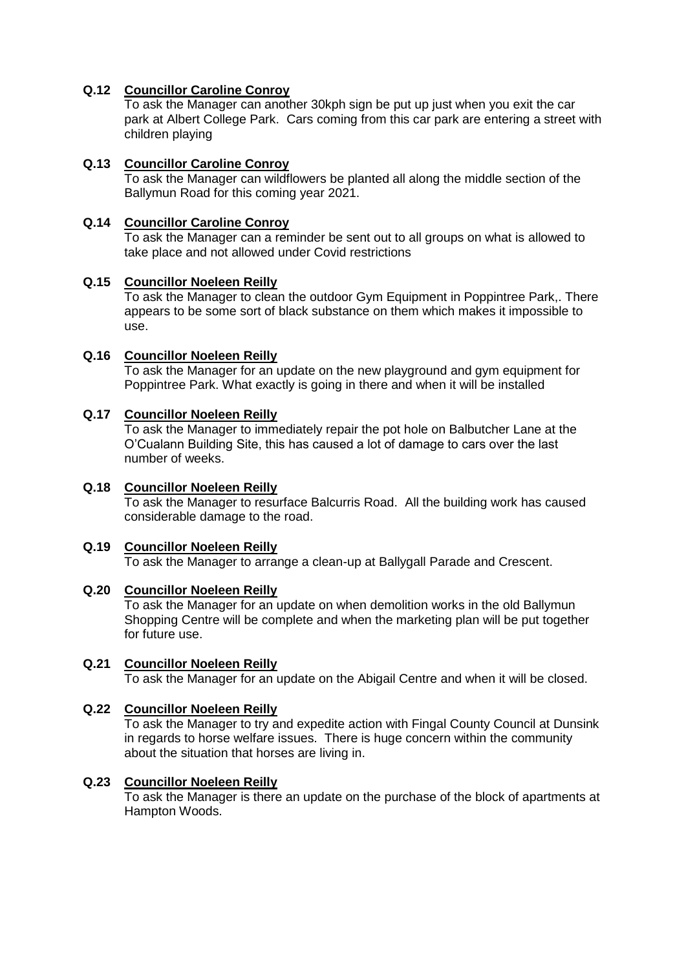#### **Q.12 Councillor Caroline Conroy**

To ask the Manager can another 30kph sign be put up just when you exit the car park at Albert College Park. Cars coming from this car park are entering a street with children playing

#### **Q.13 Councillor Caroline Conroy**

To ask the Manager can wildflowers be planted all along the middle section of the Ballymun Road for this coming year 2021.

#### **Q.14 Councillor Caroline Conroy**

To ask the Manager can a reminder be sent out to all groups on what is allowed to take place and not allowed under Covid restrictions

#### **Q.15 Councillor Noeleen Reilly**

To ask the Manager to clean the outdoor Gym Equipment in Poppintree Park,. There appears to be some sort of black substance on them which makes it impossible to use.

#### **Q.16 Councillor Noeleen Reilly**

To ask the Manager for an update on the new playground and gym equipment for Poppintree Park. What exactly is going in there and when it will be installed

#### **Q.17 Councillor Noeleen Reilly**

To ask the Manager to immediately repair the pot hole on Balbutcher Lane at the O'Cualann Building Site, this has caused a lot of damage to cars over the last number of weeks.

#### **Q.18 Councillor Noeleen Reilly**

To ask the Manager to resurface Balcurris Road. All the building work has caused considerable damage to the road.

#### **Q.19 Councillor Noeleen Reilly**

To ask the Manager to arrange a clean-up at Ballygall Parade and Crescent.

#### **Q.20 Councillor Noeleen Reilly**

To ask the Manager for an update on when demolition works in the old Ballymun Shopping Centre will be complete and when the marketing plan will be put together for future use.

#### **Q.21 Councillor Noeleen Reilly**

To ask the Manager for an update on the Abigail Centre and when it will be closed.

#### **Q.22 Councillor Noeleen Reilly**

To ask the Manager to try and expedite action with Fingal County Council at Dunsink in regards to horse welfare issues. There is huge concern within the community about the situation that horses are living in.

#### **Q.23 Councillor Noeleen Reilly**

To ask the Manager is there an update on the purchase of the block of apartments at Hampton Woods.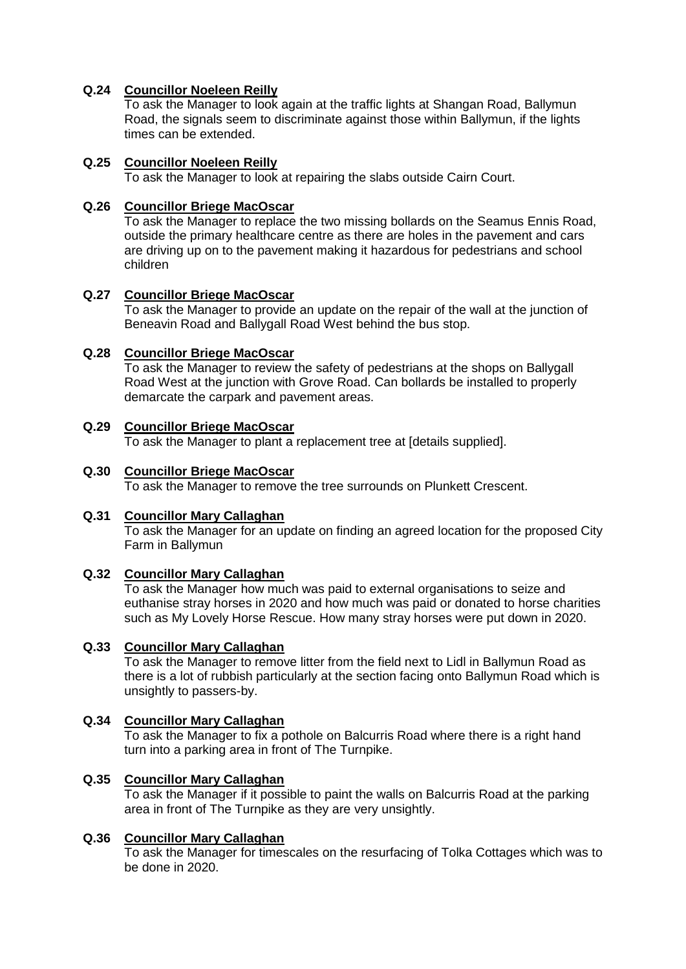#### **Q.24 Councillor Noeleen Reilly**

To ask the Manager to look again at the traffic lights at Shangan Road, Ballymun Road, the signals seem to discriminate against those within Ballymun, if the lights times can be extended.

#### **Q.25 Councillor Noeleen Reilly**

To ask the Manager to look at repairing the slabs outside Cairn Court.

#### **Q.26 Councillor Briege MacOscar**

To ask the Manager to replace the two missing bollards on the Seamus Ennis Road, outside the primary healthcare centre as there are holes in the pavement and cars are driving up on to the pavement making it hazardous for pedestrians and school children

#### **Q.27 Councillor Briege MacOscar**

To ask the Manager to provide an update on the repair of the wall at the junction of Beneavin Road and Ballygall Road West behind the bus stop.

#### **Q.28 Councillor Briege MacOscar**

To ask the Manager to review the safety of pedestrians at the shops on Ballygall Road West at the junction with Grove Road. Can bollards be installed to properly demarcate the carpark and pavement areas.

#### **Q.29 Councillor Briege MacOscar**

To ask the Manager to plant a replacement tree at [details supplied].

## **Q.30 Councillor Briege MacOscar**

To ask the Manager to remove the tree surrounds on Plunkett Crescent.

#### **Q.31 Councillor Mary Callaghan**

To ask the Manager for an update on finding an agreed location for the proposed City Farm in Ballymun

#### **Q.32 Councillor Mary Callaghan**

To ask the Manager how much was paid to external organisations to seize and euthanise stray horses in 2020 and how much was paid or donated to horse charities such as My Lovely Horse Rescue. How many stray horses were put down in 2020.

#### **Q.33 Councillor Mary Callaghan**

To ask the Manager to remove litter from the field next to Lidl in Ballymun Road as there is a lot of rubbish particularly at the section facing onto Ballymun Road which is unsightly to passers-by.

# **Q.34 Councillor Mary Callaghan**

To ask the Manager to fix a pothole on Balcurris Road where there is a right hand turn into a parking area in front of The Turnpike.

#### **Q.35 Councillor Mary Callaghan**

To ask the Manager if it possible to paint the walls on Balcurris Road at the parking area in front of The Turnpike as they are very unsightly.

#### **Q.36 Councillor Mary Callaghan**

To ask the Manager for timescales on the resurfacing of Tolka Cottages which was to be done in 2020.